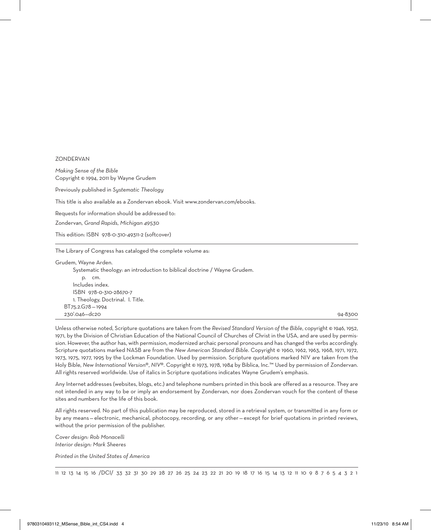#### ZONDERVAN

*Making Sense of the Bible* Copyright © 1994, 2011 by Wayne Grudem

Previously published in *Systematic Theology*

This title is also available as a Zondervan ebook. Visit www.zondervan.com/ebooks.

Requests for information should be addressed to:

Zondervan, *Grand Rapids, Michigan 49530*

This edition: ISBN 978-0-310-49311-2 (softcover)

The Library of Congress has cataloged the complete volume as:

#### Grudem, Wayne Arden.

Systematic theology: an introduction to biblical doctrine / Wayne Grudem. p. cm. Includes index. ISBN 978-0-310-28670-7 1. Theology, Doctrinal. I. Title. BT75.2.G78—1994 230'.046—dc20 94-8300

Unless otherwise noted, Scripture quotations are taken from the *Revised Standard Version of the Bible*, copyright © 1946, 1952, 1971, by the Division of Christian Education of the National Council of Churches of Christ in the USA, and are used by permission. However, the author has, with permission, modernized archaic personal pronouns and has changed the verbs accordingly. Scripture quotations marked NASB are from the *New American Standard Bible*. Copyright © 1960, 1962, 1963, 1968, 1971, 1972, 1973, 1975, 1977, 1995 by the Lockman Foundation. Used by permission. Scripture quotations marked NIV are taken from the Holy Bible, *New International Version*®, *NIV*®. Copyright © 1973, 1978, 1984 by Biblica, Inc.™ Used by permission of Zondervan. All rights reserved worldwide. Use of italics in Scripture quotations indicates Wayne Grudem's emphasis.

Any Internet addresses (websites, blogs, etc.) and telephone numbers printed in this book are offered as a resource. They are not intended in any way to be or imply an endorsement by Zondervan, nor does Zondervan vouch for the content of these sites and numbers for the life of this book.

All rights reserved. No part of this publication may be reproduced, stored in a retrieval system, or transmitted in any form or by any means—electronic, mechanical, photocopy, recording, or any other—except for brief quotations in printed reviews, without the prior permission of the publisher.

*Cover design: Rob Monacelli Interior design: Mark Sheeres*

*Printed in the United States of America*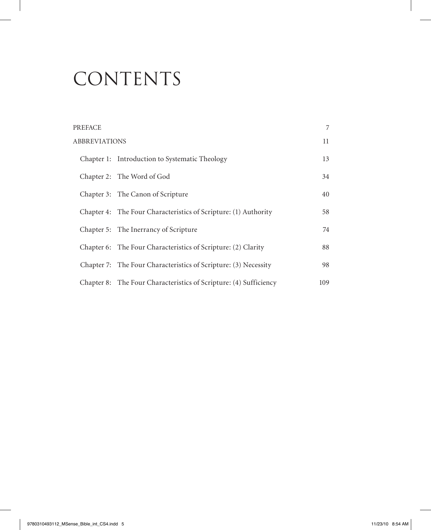# CONTENTS

| PREFACE              |                                                                   | 7   |
|----------------------|-------------------------------------------------------------------|-----|
| <b>ABBREVIATIONS</b> |                                                                   |     |
|                      | Chapter 1: Introduction to Systematic Theology                    | 13  |
|                      | Chapter 2: The Word of God                                        | 34  |
|                      | Chapter 3: The Canon of Scripture                                 | 40  |
|                      | Chapter 4: The Four Characteristics of Scripture: (1) Authority   | 58  |
|                      | Chapter 5: The Inerrancy of Scripture                             | 74  |
|                      | Chapter 6: The Four Characteristics of Scripture: (2) Clarity     | 88  |
|                      | Chapter 7: The Four Characteristics of Scripture: (3) Necessity   | 98  |
|                      | Chapter 8: The Four Characteristics of Scripture: (4) Sufficiency | 109 |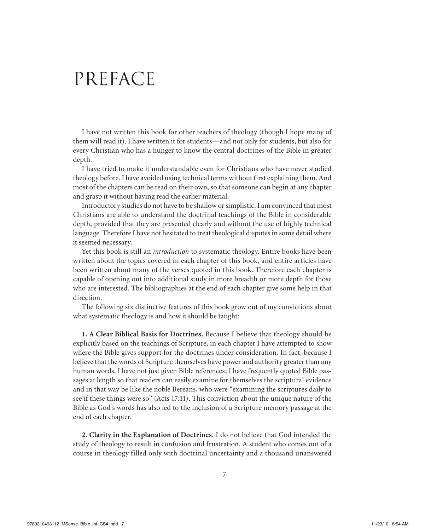# Preface

I have not written this book for other teachers of theology (though I hope many of them will read it). I have written it for students—and not only for students, but also for every Christian who has a hunger to know the central doctrines of the Bible in greater depth.

I have tried to make it understandable even for Christians who have never studied theology before. I have avoided using technical terms without first explaining them. And most of the chapters can be read on their own, so that someone can begin at any chapter and grasp it without having read the earlier material.

Introductory studies do not have to be shallow orsimplistic. I am convinced that most Christians are able to understand the doctrinal teachings of the Bible in considerable depth, provided that they are presented clearly and without the use of highly technical language. Therefore I have not hesitated to treat theological disputes in some detail where it seemed necessary.

Yet this book is still an *introduction* to systematic theology. Entire books have been written about the topics covered in each chapter of this book, and entire articles have been written about many of the verses quoted in this book. Therefore each chapter is capable of opening out into additional study in more breadth or more depth for those who are interested. The bibliographies at the end of each chapter give some help in that direction.

The following six distinctive features of this book grow out of my convictions about what systematic theology is and how it should be taught:

**1. A Clear Biblical Basis for Doctrines.** Because I believe that theology should be explicitly based on the teachings of Scripture, in each chapter I have attempted to show where the Bible gives support for the doctrines under consideration. In fact, because I believe that the words of Scripture themselves have power and authority greater than any human words, I have not just given Bible references; I have frequently quoted Bible passages at length so that readers can easily examine for themselves the scriptural evidence and in that way be like the noble Bereans, who were "examining the scriptures daily to see if these things were so" (Acts 17:11). This conviction about the unique nature of the Bible as God's words has also led to the inclusion of a Scripture memory passage at the end of each chapter.

**2. Clarity in the Explanation of Doctrines.** I do not believe that God intended the study of theology to result in confusion and frustration. A student who comes out of a course in theology filled only with doctrinal uncertainty and a thousand unanswered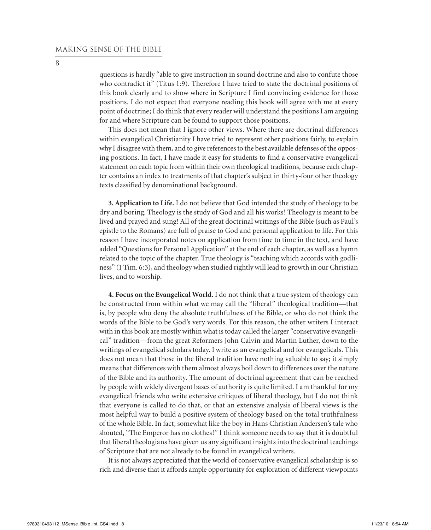questions is hardly "able to give instruction in sound doctrine and also to confute those who contradict it" (Titus 1:9). Therefore I have tried to state the doctrinal positions of this book clearly and to show where in Scripture I find convincing evidence for those positions. I do not expect that everyone reading this book will agree with me at every point of doctrine; I do think that every reader will understand the positions I am arguing for and where Scripture can be found to support those positions.

This does not mean that I ignore other views. Where there are doctrinal differences within evangelical Christianity I have tried to represent other positions fairly, to explain why I disagree with them, and to give references to the best available defenses of the opposing positions. In fact, I have made it easy for students to find a conservative evangelical statement on each topic from within their own theological traditions, because each chapter contains an index to treatments of that chapter's subject in thirty-four other theology texts classified by denominational background.

**3. Application to Life.** I do not believe that God intended the study of theology to be dry and boring. Theology is the study of God and all his works! Theology is meant to be lived and prayed and sung! All of the great doctrinal writings of the Bible (such as Paul's epistle to the Romans) are full of praise to God and personal application to life. For this reason I have incorporated notes on application from time to time in the text, and have added "Questions for Personal Application" at the end of each chapter, as well as a hymn related to the topic of the chapter. True theology is "teaching which accords with godliness" (1 Tim. 6:3), and theology when studied rightly will lead to growth in our Christian lives, and to worship.

**4. Focus on the Evangelical World.** I do not think that a true system of theology can be constructed from within what we may call the "liberal" theological tradition—that is, by people who deny the absolute truthfulness of the Bible, or who do not think the words of the Bible to be God's very words. For this reason, the other writers I interact with in this book are mostly within what is today called the larger "conservative evangelical" tradition—from the great Reformers John Calvin and Martin Luther, down to the writings of evangelical scholars today. I write as an evangelical and for evangelicals. This does not mean that those in the liberal tradition have nothing valuable to say; it simply means that differences with them almost always boil down to differences over the nature of the Bible and its authority. The amount of doctrinal agreement that can be reached by people with widely divergent bases of authority is quite limited. I am thankful for my evangelical friends who write extensive critiques of liberal theology, but I do not think that everyone is called to do that, or that an extensive analysis of liberal views is the most helpful way to build a positive system of theology based on the total truthfulness of the whole Bible. In fact, somewhat like the boy in Hans Christian Andersen's tale who shouted, "The Emperor has no clothes!" I think someone needs to say that it is doubtful that liberal theologians have given us any significant insights into the doctrinal teachings of Scripture that are not already to be found in evangelical writers.

It is not always appreciated that the world of conservative evangelical scholarship is so rich and diverse that it affords ample opportunity for exploration of different viewpoints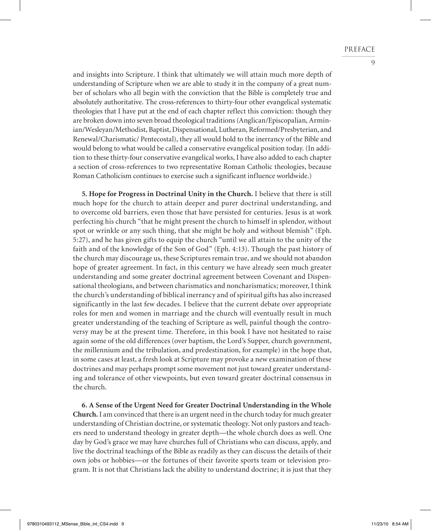and insights into Scripture. I think that ultimately we will attain much more depth of understanding of Scripture when we are able to study it in the company of a great number of scholars who all begin with the conviction that the Bible is completely true and absolutely authoritative. The cross-references to thirty-four other evangelical systematic theologies that I have put at the end of each chapter reflect this conviction: though they are broken down into seven broad theological traditions (Anglican/Episcopalian, Arminian/Wesleyan/Methodist, Baptist, Dispensational, Lutheran, Reformed/Presbyterian, and Renewal/Charismatic/ Pentecostal), they all would hold to the inerrancy of the Bible and would belong to what would be called a conservative evangelical position today. (In addition to these thirty-four conservative evangelical works, I have also added to each chapter a section of cross-references to two representative Roman Catholic theologies, because Roman Catholicism continues to exercise such a significant influence worldwide.)

**5. Hope for Progress in Doctrinal Unity in the Church.** I believe that there is still much hope for the church to attain deeper and purer doctrinal understanding, and to overcome old barriers, even those that have persisted for centuries. Jesus is at work perfecting his church "that he might present the church to himself in splendor, without spot or wrinkle or any such thing, that she might be holy and without blemish" (Eph. 5:27), and he has given gifts to equip the church "until we all attain to the unity of the faith and of the knowledge of the Son of God" (Eph. 4:13). Though the past history of the church may discourage us, these Scriptures remain true, and we should not abandon hope of greater agreement. In fact, in this century we have already seen much greater understanding and some greater doctrinal agreement between Covenant and Dispensational theologians, and between charismatics and noncharismatics; moreover, I think the church's understanding of biblical inerrancy and of spiritual gifts has also increased significantly in the last few decades. I believe that the current debate over appropriate roles for men and women in marriage and the church will eventually result in much greater understanding of the teaching of Scripture as well, painful though the controversy may be at the present time. Therefore, in this book I have not hesitated to raise again some of the old differences (over baptism, the Lord's Supper, church government, the millennium and the tribulation, and predestination, for example) in the hope that, in some cases at least, a fresh look at Scripture may provoke a new examination of these doctrines and may perhaps prompt some movement not just toward greater understanding and tolerance of other viewpoints, but even toward greater doctrinal consensus in the church.

**6. A Sense of the Urgent Need for Greater Doctrinal Understanding in the Whole Church.** I am convinced that there is an urgent need in the church today for much greater understanding of Christian doctrine, or systematic theology. Not only pastors and teachers need to understand theology in greater depth—the whole church does as well. One day by God's grace we may have churches full of Christians who can discuss, apply, and live the doctrinal teachings of the Bible as readily as they can discuss the details of their own jobs or hobbies—or the fortunes of their favorite sports team or television program. It is not that Christians lack the ability to understand doctrine; it is just that they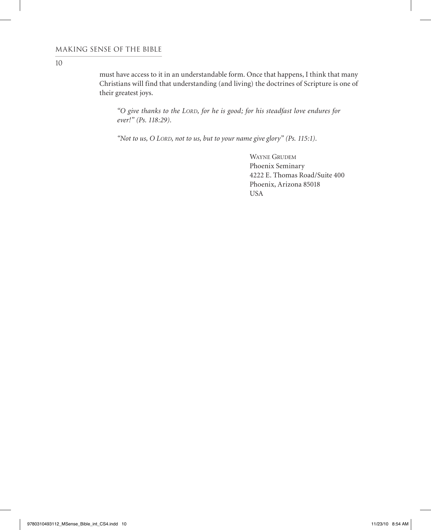must have access to it in an understandable form. Once that happens, I think that many Christians will find that understanding (and living) the doctrines of Scripture is one of their greatest joys.

*"O give thanks to the Lord, for he is good; for his steadfast love endures for ever!" (Ps. 118:29).*

"Not to us, O LORD, not to us, but to your name give glory" (Ps. 115:1).

WAYNE GRUDEM Phoenix Seminary 4222 E. Thomas Road/Suite 400 Phoenix, Arizona 85018 USA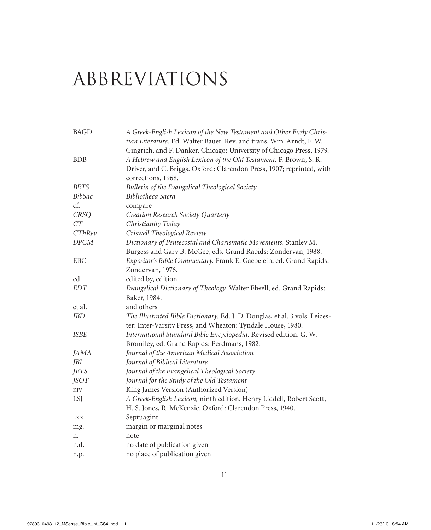# ABBREVIATIONS

| A Greek-English Lexicon of the New Testament and Other Early Chris-         |  |  |
|-----------------------------------------------------------------------------|--|--|
| tian Literature. Ed. Walter Bauer. Rev. and trans. Wm. Arndt, F. W.         |  |  |
| Gingrich, and F. Danker. Chicago: University of Chicago Press, 1979.        |  |  |
| A Hebrew and English Lexicon of the Old Testament. F. Brown, S. R.          |  |  |
| Driver, and C. Briggs. Oxford: Clarendon Press, 1907; reprinted, with       |  |  |
| corrections, 1968.                                                          |  |  |
| Bulletin of the Evangelical Theological Society                             |  |  |
| Bibliotheca Sacra                                                           |  |  |
| compare                                                                     |  |  |
| Creation Research Society Quarterly                                         |  |  |
| Christianity Today                                                          |  |  |
| Criswell Theological Review                                                 |  |  |
| Dictionary of Pentecostal and Charismatic Movements. Stanley M.             |  |  |
| Burgess and Gary B. McGee, eds. Grand Rapids: Zondervan, 1988.              |  |  |
| Expositor's Bible Commentary. Frank E. Gaebelein, ed. Grand Rapids:         |  |  |
| Zondervan, 1976.                                                            |  |  |
| edited by, edition                                                          |  |  |
| Evangelical Dictionary of Theology. Walter Elwell, ed. Grand Rapids:        |  |  |
| Baker, 1984.                                                                |  |  |
| and others                                                                  |  |  |
| The Illustrated Bible Dictionary. Ed. J. D. Douglas, et al. 3 vols. Leices- |  |  |
| ter: Inter-Varsity Press, and Wheaton: Tyndale House, 1980.                 |  |  |
| International Standard Bible Encyclopedia. Revised edition. G. W.           |  |  |
| Bromiley, ed. Grand Rapids: Eerdmans, 1982.                                 |  |  |
| Journal of the American Medical Association                                 |  |  |
| Journal of Biblical Literature                                              |  |  |
| Journal of the Evangelical Theological Society                              |  |  |
| Journal for the Study of the Old Testament                                  |  |  |
| King James Version (Authorized Version)                                     |  |  |
| A Greek-English Lexicon, ninth edition. Henry Liddell, Robert Scott,        |  |  |
| H. S. Jones, R. McKenzie. Oxford: Clarendon Press, 1940.                    |  |  |
| Septuagint                                                                  |  |  |
| margin or marginal notes                                                    |  |  |
| note                                                                        |  |  |
| no date of publication given                                                |  |  |
| no place of publication given                                               |  |  |
|                                                                             |  |  |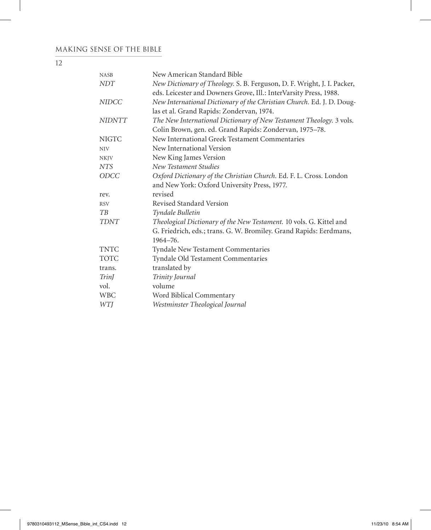| <b>NASB</b>   | New American Standard Bible                                                                                                                  |  |
|---------------|----------------------------------------------------------------------------------------------------------------------------------------------|--|
| <b>NDT</b>    | New Dictionary of Theology. S. B. Ferguson, D. F. Wright, J. I. Packer,<br>eds. Leicester and Downers Grove, Ill.: InterVarsity Press, 1988. |  |
| NIDCC         | New International Dictionary of the Christian Church. Ed. J. D. Doug-<br>las et al. Grand Rapids: Zondervan, 1974.                           |  |
| <b>NIDNTT</b> | The New International Dictionary of New Testament Theology. 3 vols.                                                                          |  |
|               | Colin Brown, gen. ed. Grand Rapids: Zondervan, 1975-78.                                                                                      |  |
| <b>NIGTC</b>  | New International Greek Testament Commentaries                                                                                               |  |
| <b>NIV</b>    | New International Version                                                                                                                    |  |
| <b>NKJV</b>   | New King James Version                                                                                                                       |  |
| NTS           | New Testament Studies                                                                                                                        |  |
| ODCC          | Oxford Dictionary of the Christian Church. Ed. F. L. Cross. London                                                                           |  |
|               | and New York: Oxford University Press, 1977.                                                                                                 |  |
| rev.          | revised                                                                                                                                      |  |
| <b>RSV</b>    | <b>Revised Standard Version</b>                                                                                                              |  |
| TB            | Tyndale Bulletin                                                                                                                             |  |
| <b>TDNT</b>   | Theological Dictionary of the New Testament. 10 vols. G. Kittel and                                                                          |  |
|               | G. Friedrich, eds.; trans. G. W. Bromiley. Grand Rapids: Eerdmans,                                                                           |  |
|               | $1964 - 76.$                                                                                                                                 |  |
| <b>TNTC</b>   | Tyndale New Testament Commentaries                                                                                                           |  |
| <b>TOTC</b>   | Tyndale Old Testament Commentaries                                                                                                           |  |
| trans.        | translated by                                                                                                                                |  |
| <b>TrinI</b>  | Trinity Journal                                                                                                                              |  |
| vol.          | volume                                                                                                                                       |  |
| <b>WBC</b>    | Word Biblical Commentary                                                                                                                     |  |
| WTJ           | Westminster Theological Journal                                                                                                              |  |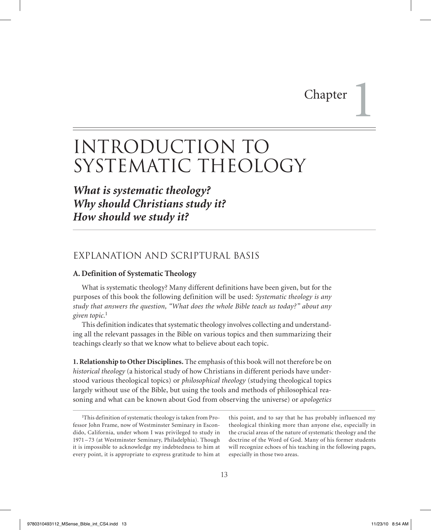# Introduction to Systematic Theology

# *What is systematic theology? Why should Christians study it? How should we study it?*

# Explanation and Scriptural Basis

### **A. Definition of Systematic Theology**

What is systematic theology? Many different definitions have been given, but for the purposes of this book the following definition will be used: *Systematic theology is any study that answers the question, "What does the whole Bible teach us today?" about any given topic.*<sup>1</sup>

This definition indicates that systematic theology involves collecting and understanding all the relevant passages in the Bible on various topics and then summarizing their teachings clearly so that we know what to believe about each topic.

**1. Relationship to Other Disciplines.** The emphasis of this book will not therefore be on *historical theology* (a historical study of how Christians in different periods have understood various theological topics) or *philosophical theology* (studying theological topics largely without use of the Bible, but using the tools and methods of philosophical reasoning and what can be known about God from observing the universe) or *apologetics* 

this point, and to say that he has probably influenced my theological thinking more than anyone else, especially in the crucial areas of the nature of systematic theology and the doctrine of the Word of God. Many of his former students will recognize echoes of his teaching in the following pages, especially in those two areas.

<sup>&</sup>lt;sup>1</sup>This definition of systematic theology is taken from Professor John Frame, now of Westminster Seminary in Escondido, California, under whom I was privileged to study in 1971 – 73 (at Westminster Seminary, Philadelphia). Though it is impossible to acknowledge my indebtedness to him at every point, it is appropriate to express gratitude to him at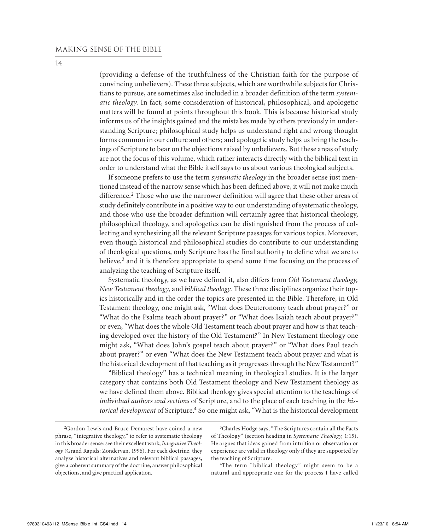(providing a defense of the truthfulness of the Christian faith for the purpose of convincing unbelievers). These three subjects, which are worthwhile subjects for Christians to pursue, are sometimes also included in a broader definition of the term *systematic theology.* In fact, some consideration of historical, philosophical, and apologetic matters will be found at points throughout this book. This is because historical study informs us of the insights gained and the mistakes made by others previously in understanding Scripture; philosophical study helps us understand right and wrong thought forms common in our culture and others; and apologetic study helps us bring the teachings of Scripture to bear on the objections raised by unbelievers. But these areas of study are not the focus of this volume, which rather interacts directly with the biblical text in order to understand what the Bible itself says to us about various theological subjects.

If someone prefers to use the term *systematic theology* in the broader sense just mentioned instead of the narrow sense which has been defined above, it will not make much difference.2 Those who use the narrower definition will agree that these other areas of study definitely contribute in a positive way to our understanding of systematic theology, and those who use the broader definition will certainly agree that historical theology, philosophical theology, and apologetics can be distinguished from the process of collecting and synthesizing all the relevant Scripture passages for various topics. Moreover, even though historical and philosophical studies do contribute to our understanding of theological questions, only Scripture has the final authority to define what we are to believe, $3$  and it is therefore appropriate to spend some time focusing on the process of analyzing the teaching of Scripture itself.

Systematic theology, as we have defined it, also differs from *Old Testament theology, New Testament theology,* and *biblical theology.* These three disciplines organize their topics historically and in the order the topics are presented in the Bible. Therefore, in Old Testament theology, one might ask, "What does Deuteronomy teach about prayer?" or "What do the Psalms teach about prayer?" or "What does Isaiah teach about prayer?" or even, "What does the whole Old Testament teach about prayer and how is that teaching developed over the history of the Old Testament?" In New Testament theology one might ask, "What does John's gospel teach about prayer?" or "What does Paul teach about prayer?" or even "What does the New Testament teach about prayer and what is the historical development of that teaching as it progresses through the New Testament?"

"Biblical theology" has a technical meaning in theological studies. It is the larger category that contains both Old Testament theology and New Testament theology as we have defined them above. Biblical theology gives special attention to the teachings of *individual authors and sections* of Scripture, and to the place of each teaching in the *historical development* of Scripture.<sup>4</sup> So one might ask, "What is the historical development

4The term "biblical theology" might seem to be a natural and appropriate one for the process I have called

<sup>2</sup>Gordon Lewis and Bruce Demarest have coined a new phrase, "integrative theology," to refer to systematic theology in this broader sense: see their excellent work, *Integrative Theology* (Grand Rapids: Zondervan, 1996). For each doctrine, they analyze historical alternatives and relevant biblical passages, give a coherent summary of the doctrine, answer philosophical objections, and give practical application.

<sup>3</sup>Charles Hodge says, "The Scriptures contain all the Facts of Theology" (section heading in *Systematic Theology,* 1:15). He argues that ideas gained from intuition or observation or experience are valid in theology only if they are supported by the teaching of Scripture.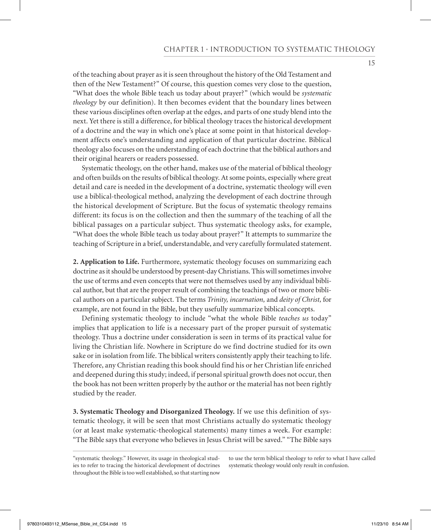of the teaching about prayer as it is seen throughout the history of the Old Testament and then of the New Testament?" Of course, this question comes very close to the question, "What does the whole Bible teach us today about prayer?" (which would be *systematic theology* by our definition). It then becomes evident that the boundary lines between these various disciplines often overlap at the edges, and parts of one study blend into the next. Yet there is still a difference, for biblical theology traces the historical development of a doctrine and the way in which one's place at some point in that historical development affects one's understanding and application of that particular doctrine. Biblical theology also focuses on the understanding of each doctrine that the biblical authors and their original hearers or readers possessed.

Systematic theology, on the other hand, makes use of the material of biblical theology and often builds on the results of biblical theology. At some points, especially where great detail and care is needed in the development of a doctrine, systematic theology will even use a biblical-theological method, analyzing the development of each doctrine through the historical development of Scripture. But the focus of systematic theology remains different: its focus is on the collection and then the summary of the teaching of all the biblical passages on a particular subject. Thus systematic theology asks, for example, "What does the whole Bible teach us today about prayer?" It attempts to summarize the teaching of Scripture in a brief, understandable, and very carefully formulated statement.

**2. Application to Life.** Furthermore, systematic theology focuses on summarizing each doctrine as it should be understood by present-day Christians. This will sometimes involve the use of terms and even concepts that were not themselves used by any individual biblical author, but that are the proper result of combining the teachings of two or more biblical authors on a particular subject. The terms *Trinity, incarnation,* and *deity of Christ,* for example, are not found in the Bible, but they usefully summarize biblical concepts.

Defining systematic theology to include "what the whole Bible *teaches us* today" implies that application to life is a necessary part of the proper pursuit of systematic theology. Thus a doctrine under consideration is seen in terms of its practical value for living the Christian life. Nowhere in Scripture do we find doctrine studied for its own sake or in isolation from life. The biblical writers consistently apply their teaching to life. Therefore, any Christian reading this book should find his or her Christian life enriched and deepened during this study; indeed, if personal spiritual growth does not occur, then the book has not been written properly by the author or the material has not been rightly studied by the reader.

**3. Systematic Theology and Disorganized Theology.** If we use this definition of systematic theology, it will be seen that most Christians actually do systematic theology (or at least make systematic-theological statements) many times a week. For example: "The Bible says that everyone who believes in Jesus Christ will be saved." "The Bible says

"systematic theology." However, its usage in theological studies to refer to tracing the historical development of doctrines throughout the Bible is too well established, so that starting now

to use the term biblical theology to refer to what I have called systematic theology would only result in confusion.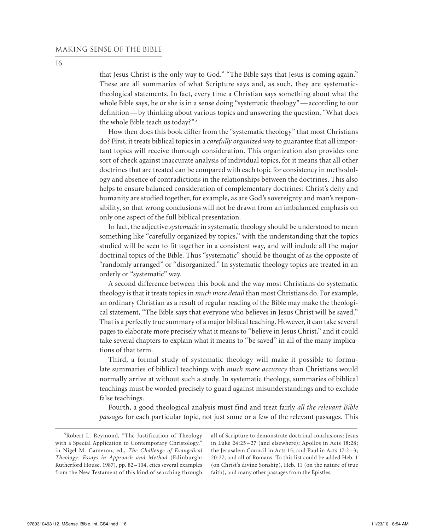that Jesus Christ is the only way to God." "The Bible says that Jesus is coming again." These are all summaries of what Scripture says and, as such, they are systematictheological statements. In fact, every time a Christian says something about what the whole Bible says, he or she is in a sense doing "systematic theology"—according to our definition—by thinking about various topics and answering the question, "What does the whole Bible teach us today?"5

How then does this book differ from the "systematic theology" that most Christians do? First, it treats biblical topics in a *carefully organized way* to guarantee that all important topics will receive thorough consideration. This organization also provides one sort of check against inaccurate analysis of individual topics, for it means that all other doctrines that are treated can be compared with each topic for consistency in methodology and absence of contradictions in the relationships between the doctrines. This also helps to ensure balanced consideration of complementary doctrines: Christ's deity and humanity are studied together, for example, as are God's sovereignty and man's responsibility, so that wrong conclusions will not be drawn from an imbalanced emphasis on only one aspect of the full biblical presentation.

In fact, the adjective *systematic* in systematic theology should be understood to mean something like "carefully organized by topics," with the understanding that the topics studied will be seen to fit together in a consistent way, and will include all the major doctrinal topics of the Bible. Thus "systematic" should be thought of as the opposite of "randomly arranged" or "disorganized." In systematic theology topics are treated in an orderly or "systematic" way.

A second difference between this book and the way most Christians do systematic theology is that it treats topics in *much more detail* than most Christians do. For example, an ordinary Christian as a result of regular reading of the Bible may make the theological statement, "The Bible says that everyone who believes in Jesus Christ will be saved." That is a perfectly true summary of a major biblical teaching. However, it can take several pages to elaborate more precisely what it means to "believe in Jesus Christ," and it could take several chapters to explain what it means to "be saved" in all of the many implications of that term.

Third, a formal study of systematic theology will make it possible to formulate summaries of biblical teachings with *much more accuracy* than Christians would normally arrive at without such a study. In systematic theology, summaries of biblical teachings must be worded precisely to guard against misunderstandings and to exclude false teachings.

Fourth, a good theological analysis must find and treat fairly *all the relevant Bible passages* for each particular topic, not just some or a few of the relevant passages. This

all of Scripture to demonstrate doctrinal conclusions: Jesus in Luke 24:25 – 27 (and elsewhere); Apollos in Acts 18:28; the Jerusalem Council in Acts 15; and Paul in Acts 17:2-3; 20:27; and all of Romans. To this list could be added Heb. 1 (on Christ's divine Sonship), Heb. 11 (on the nature of true faith), and many other passages from the Epistles.

<sup>5</sup>Robert L. Reymond, "The Justification of Theology with a Special Application to Contemporary Christology," in Nigel M. Cameron, ed., *The Challenge of Evangelical Theology: Essays in Approach and Method* (Edinburgh: Rutherford House, 1987), pp. 82–104, cites several examples from the New Testament of this kind of searching through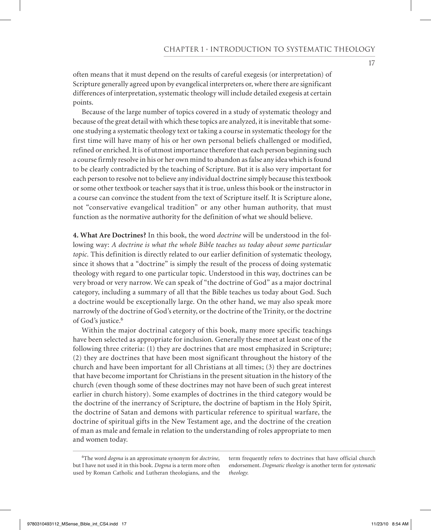often means that it must depend on the results of careful exegesis (or interpretation) of Scripture generally agreed upon by evangelical interpreters or, where there are significant differences of interpretation, systematic theology will include detailed exegesis at certain points.

Because of the large number of topics covered in a study of systematic theology and because of the great detail with which these topics are analyzed, it is inevitable that someone studying a systematic theology text or taking a course in systematic theology for the first time will have many of his or her own personal beliefs challenged or modified, refined or enriched. It is of utmost importance therefore that each person beginning such a course firmly resolve in his or her own mind to abandon as false any idea which is found to be clearly contradicted by the teaching of Scripture. But it is also very important for each person to resolve not to believe any individual doctrine simply because this textbook or some other textbook or teacher says that it is true, unless this book or the instructor in a course can convince the student from the text of Scripture itself. It is Scripture alone, not "conservative evangelical tradition" or any other human authority, that must function as the normative authority for the definition of what we should believe.

**4. What Are Doctrines?** In this book, the word *doctrine* will be understood in the following way: *A doctrine is what the whole Bible teaches us today about some particular topic.* This definition is directly related to our earlier definition of systematic theology, since it shows that a "doctrine" is simply the result of the process of doing systematic theology with regard to one particular topic. Understood in this way, doctrines can be very broad or very narrow. We can speak of "the doctrine of God" as a major doctrinal category, including a summary of all that the Bible teaches us today about God. Such a doctrine would be exceptionally large. On the other hand, we may also speak more narrowly of the doctrine of God's eternity, or the doctrine of the Trinity, or the doctrine of God's justice.<sup>6</sup>

Within the major doctrinal category of this book, many more specific teachings have been selected as appropriate for inclusion. Generally these meet at least one of the following three criteria: (1) they are doctrines that are most emphasized in Scripture; (2) they are doctrines that have been most significant throughout the history of the church and have been important for all Christians at all times; (3) they are doctrines that have become important for Christians in the present situation in the history of the church (even though some of these doctrines may not have been of such great interest earlier in church history). Some examples of doctrines in the third category would be the doctrine of the inerrancy of Scripture, the doctrine of baptism in the Holy Spirit, the doctrine of Satan and demons with particular reference to spiritual warfare, the doctrine of spiritual gifts in the New Testament age, and the doctrine of the creation of man as male and female in relation to the understanding of roles appropriate to men and women today.

term frequently refers to doctrines that have official church endorsement. *Dogmatic theology* is another term for *systematic theology.*

<sup>6</sup>The word *dogma* is an approximate synonym for *doctrine,*  but I have not used it in this book. *Dogma* is a term more often used by Roman Catholic and Lutheran theologians, and the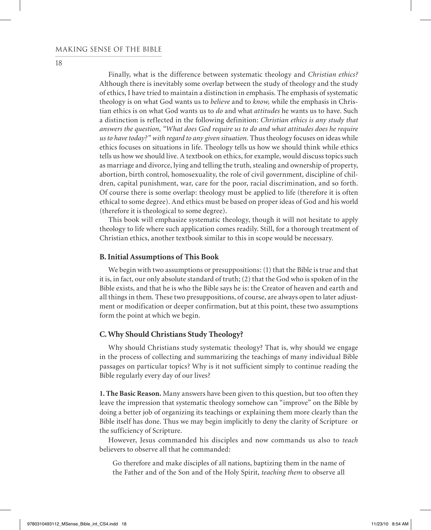Finally, what is the difference between systematic theology and *Christian ethics?*  Although there is inevitably some overlap between the study of theology and the study of ethics, I have tried to maintain a distinction in emphasis. The emphasis of systematic theology is on what God wants us to *believe* and to *know,* while the emphasis in Christian ethics is on what God wants us to *do* and what *attitudes* he wants us to have. Such a distinction is reflected in the following definition: *Christian ethics is any study that answers the question, "What does God require us to do and what attitudes does he require us to have today?" with regard to any given situation.* Thus theology focuses on ideas while ethics focuses on situations in life. Theology tells us how we should think while ethics tells us how we should live. A textbook on ethics, for example, would discuss topics such as marriage and divorce, lying and telling the truth, stealing and ownership of property, abortion, birth control, homosexuality, the role of civil government, discipline of children, capital punishment, war, care for the poor, racial discrimination, and so forth. Of course there is some overlap: theology must be applied to life (therefore it is often ethical to some degree). And ethics must be based on proper ideas of God and his world (therefore it is theological to some degree).

This book will emphasize systematic theology, though it will not hesitate to apply theology to life where such application comes readily. Still, for a thorough treatment of Christian ethics, another textbook similar to this in scope would be necessary.

#### **B. Initial Assumptions of This Book**

We begin with two assumptions or presuppositions: (1) that the Bible is true and that it is, in fact, our only absolute standard of truth; (2) that the God who is spoken of in the Bible exists, and that he is who the Bible says he is: the Creator of heaven and earth and all things in them. These two presuppositions, of course, are always open to later adjustment or modification or deeper confirmation, but at this point, these two assumptions form the point at which we begin.

#### **C. Why Should Christians Study Theology?**

Why should Christians study systematic theology? That is, why should we engage in the process of collecting and summarizing the teachings of many individual Bible passages on particular topics? Why is it not sufficient simply to continue reading the Bible regularly every day of our lives?

**1. The Basic Reason.** Many answers have been given to this question, but too often they leave the impression that systematic theology somehow can "improve" on the Bible by doing a better job of organizing its teachings or explaining them more clearly than the Bible itself has done. Thus we may begin implicitly to deny the clarity of Scripture or the sufficiency of Scripture.

However, Jesus commanded his disciples and now commands us also to *teach*  believers to observe all that he commanded:

Go therefore and make disciples of all nations, baptizing them in the name of the Father and of the Son and of the Holy Spirit, *teaching them* to observe all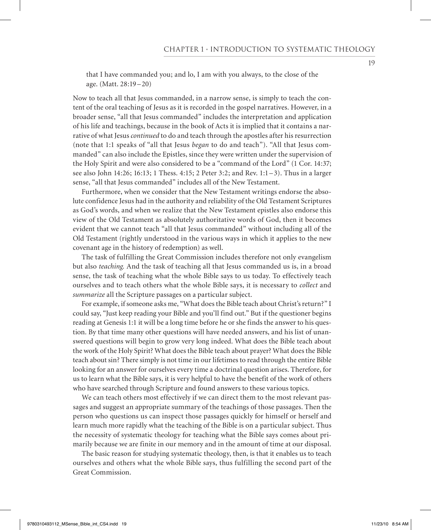that I have commanded you; and lo, I am with you always, to the close of the age. (Matt. 28:19– 20)

Now to teach all that Jesus commanded, in a narrow sense, is simply to teach the content of the oral teaching of Jesus as it is recorded in the gospel narratives. However, in a broader sense, "all that Jesus commanded" includes the interpretation and application of his life and teachings, because in the book of Acts it is implied that it contains a narrative of what Jesus *continued* to do and teach through the apostles after his resurrection (note that 1:1 speaks of "all that Jesus *began* to do and teach"). "All that Jesus commanded" can also include the Epistles, since they were written under the supervision of the Holy Spirit and were also considered to be a "command of the Lord" (1 Cor. 14:37; see also John 14:26; 16:13; 1 Thess. 4:15; 2 Peter 3:2; and Rev. 1:1–3). Thus in a larger sense, "all that Jesus commanded" includes all of the New Testament.

Furthermore, when we consider that the New Testament writings endorse the absolute confidence Jesus had in the authority and reliability of the Old Testament Scriptures as God's words, and when we realize that the New Testament epistles also endorse this view of the Old Testament as absolutely authoritative words of God, then it becomes evident that we cannot teach "all that Jesus commanded" without including all of the Old Testament (rightly understood in the various ways in which it applies to the new covenant age in the history of redemption) as well.

The task of fulfilling the Great Commission includes therefore not only evangelism but also *teaching.* And the task of teaching all that Jesus commanded us is, in a broad sense, the task of teaching what the whole Bible says to us today. To effectively teach ourselves and to teach others what the whole Bible says, it is necessary to *collect* and *summarize* all the Scripture passages on a particular subject.

For example, if someone asks me, "What does the Bible teach about Christ's return?" I could say, "Just keep reading your Bible and you'll find out." But if the questioner begins reading at Genesis 1:1 it will be a long time before he or she finds the answer to his question. By that time many other questions will have needed answers, and his list of unanswered questions will begin to grow very long indeed. What does the Bible teach about the work of the Holy Spirit? What does the Bible teach about prayer? What does the Bible teach about sin? There simply is not time in our lifetimes to read through the entire Bible looking for an answer for ourselves every time a doctrinal question arises. Therefore, for us to learn what the Bible says, it is very helpful to have the benefit of the work of others who have searched through Scripture and found answers to these various topics.

We can teach others most effectively if we can direct them to the most relevant passages and suggest an appropriate summary of the teachings of those passages. Then the person who questions us can inspect those passages quickly for himself or herself and learn much more rapidly what the teaching of the Bible is on a particular subject. Thus the necessity of systematic theology for teaching what the Bible says comes about primarily because we are finite in our memory and in the amount of time at our disposal.

The basic reason for studying systematic theology, then, is that it enables us to teach ourselves and others what the whole Bible says, thus fulfilling the second part of the Great Commission.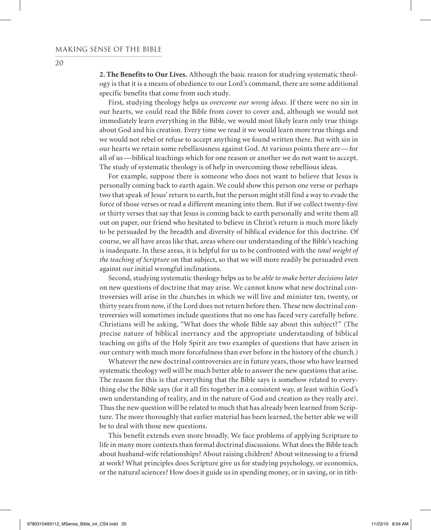**2. The Benefits to Our Lives.** Although the basic reason for studying systematic theology is that it is a means of obedience to our Lord's command, there are some additional specific benefits that come from such study.

First, studying theology helps us *overcome our wrong ideas.* If there were no sin in our hearts, we could read the Bible from cover to cover and, although we would not immediately learn everything in the Bible, we would most likely learn only true things about God and his creation. Every time we read it we would learn more true things and we would not rebel or refuse to accept anything we found written there. But with sin in our hearts we retain some rebelliousness against God. At various points there are—for all of us—biblical teachings which for one reason or another we do not want to accept. The study of systematic theology is of help in overcoming those rebellious ideas.

For example, suppose there is someone who does not want to believe that Jesus is personally coming back to earth again. We could show this person one verse or perhaps two that speak of Jesus' return to earth, but the person might still find a way to evade the force of those verses or read a different meaning into them. But if we collect twenty-five or thirty verses that say that Jesus is coming back to earth personally and write them all out on paper, our friend who hesitated to believe in Christ's return is much more likely to be persuaded by the breadth and diversity of biblical evidence for this doctrine. Of course, we all have areas like that, areas where our understanding of the Bible's teaching is inadequate. In these areas, it is helpful for us to be confronted with the *total weight of the teaching of Scripture* on that subject, so that we will more readily be persuaded even against our initial wrongful inclinations.

Second, studying systematic theology helps us to be *able to make better decisions later*  on new questions of doctrine that may arise. We cannot know what new doctrinal controversies will arise in the churches in which we will live and minister ten, twenty, or thirty years from now, if the Lord does not return before then. These new doctrinal controversies will sometimes include questions that no one has faced very carefully before. Christians will be asking, "What does the whole Bible say about this subject?" (The precise nature of biblical inerrancy and the appropriate understanding of biblical teaching on gifts of the Holy Spirit are two examples of questions that have arisen in our century with much more forcefulness than ever before in the history of the church.)

Whatever the new doctrinal controversies are in future years, those who have learned systematic theology well will be much better able to answer the new questions that arise. The reason for this is that everything that the Bible says is somehow related to everything else the Bible says (for it all fits together in a consistent way, at least within God's own understanding of reality, and in the nature of God and creation as they really are). Thus the new question will be related to much that has already been learned from Scripture. The more thoroughly that earlier material has been learned, the better able we will be to deal with those new questions.

This benefit extends even more broadly. We face problems of applying Scripture to life in many more contexts than formal doctrinal discussions. What does the Bible teach about husband-wife relationships? About raising children? About witnessing to a friend at work? What principles does Scripture give us for studying psychology, or economics, or the natural sciences? How does it guide us in spending money, or in saving, or in tith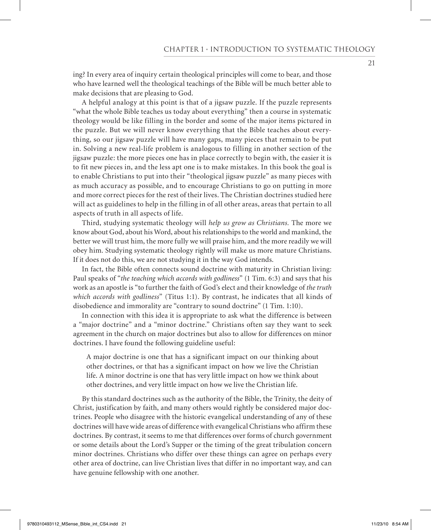ing? In every area of inquiry certain theological principles will come to bear, and those who have learned well the theological teachings of the Bible will be much better able to make decisions that are pleasing to God.

A helpful analogy at this point is that of a jigsaw puzzle. If the puzzle represents "what the whole Bible teaches us today about everything" then a course in systematic theology would be like filling in the border and some of the major items pictured in the puzzle. But we will never know everything that the Bible teaches about everything, so our jigsaw puzzle will have many gaps, many pieces that remain to be put in. Solving a new real-life problem is analogous to filling in another section of the jigsaw puzzle: the more pieces one has in place correctly to begin with, the easier it is to fit new pieces in, and the less apt one is to make mistakes. In this book the goal is to enable Christians to put into their "theological jigsaw puzzle" as many pieces with as much accuracy as possible, and to encourage Christians to go on putting in more and more correct pieces for the rest of their lives. The Christian doctrines studied here will act as guidelines to help in the filling in of all other areas, areas that pertain to all aspects of truth in all aspects of life.

Third, studying systematic theology will *help us grow as Christians.* The more we know about God, about his Word, about his relationships to the world and mankind, the better we will trust him, the more fully we will praise him, and the more readily we will obey him. Studying systematic theology rightly will make us more mature Christians. If it does not do this, we are not studying it in the way God intends.

In fact, the Bible often connects sound doctrine with maturity in Christian living: Paul speaks of "*the teaching which accords with godliness*" (1 Tim. 6:3) and says that his work as an apostle is "to further the faith of God's elect and their knowledge of *the truth which accords with godliness*" (Titus 1:1). By contrast, he indicates that all kinds of disobedience and immorality are "contrary to sound doctrine" (1 Tim. 1:10).

In connection with this idea it is appropriate to ask what the difference is between a "major doctrine" and a "minor doctrine." Christians often say they want to seek agreement in the church on major doctrines but also to allow for differences on minor doctrines. I have found the following guideline useful:

A major doctrine is one that has a significant impact on our thinking about other doctrines, or that has a significant impact on how we live the Christian life. A minor doctrine is one that has very little impact on how we think about other doctrines, and very little impact on how we live the Christian life.

By this standard doctrines such as the authority of the Bible, the Trinity, the deity of Christ, justification by faith, and many others would rightly be considered major doctrines. People who disagree with the historic evangelical understanding of any of these doctrines will have wide areas of difference with evangelical Christians who affirm these doctrines. By contrast, it seems to me that differences over forms of church government or some details about the Lord's Supper or the timing of the great tribulation concern minor doctrines. Christians who differ over these things can agree on perhaps every other area of doctrine, can live Christian lives that differ in no important way, and can have genuine fellowship with one another.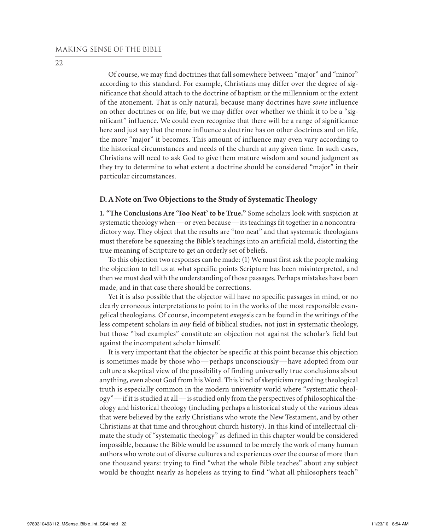Of course, we may find doctrines that fall somewhere between "major" and "minor" according to this standard. For example, Christians may differ over the degree of significance that should attach to the doctrine of baptism or the millennium or the extent of the atonement. That is only natural, because many doctrines have *some* influence on other doctrines or on life, but we may differ over whether we think it to be a "significant" influence. We could even recognize that there will be a range of significance here and just say that the more influence a doctrine has on other doctrines and on life, the more "major" it becomes. This amount of influence may even vary according to the historical circumstances and needs of the church at any given time. In such cases, Christians will need to ask God to give them mature wisdom and sound judgment as they try to determine to what extent a doctrine should be considered "major" in their particular circumstances.

#### **D. A Note on Two Objections to the Study of Systematic Theology**

**1. "The Conclusions Are 'Too Neat' to be True."** Some scholars look with suspicion at systematic theology when—or even because—its teachings fit together in a noncontradictory way. They object that the results are "too neat" and that systematic theologians must therefore be squeezing the Bible's teachings into an artificial mold, distorting the true meaning of Scripture to get an orderly set of beliefs.

To this objection two responses can be made: (1) We must first ask the people making the objection to tell us at what specific points Scripture has been misinterpreted, and then we must deal with the understanding of those passages. Perhaps mistakes have been made, and in that case there should be corrections.

Yet it is also possible that the objector will have no specific passages in mind, or no clearly erroneous interpretations to point to in the works of the most responsible evangelical theologians. Of course, incompetent exegesis can be found in the writings of the less competent scholars in *any* field of biblical studies, not just in systematic theology, but those "bad examples" constitute an objection not against the scholar's field but against the incompetent scholar himself.

It is very important that the objector be specific at this point because this objection is sometimes made by those who—perhaps unconsciously—have adopted from our culture a skeptical view of the possibility of finding universally true conclusions about anything, even about God from his Word. This kind of skepticism regarding theological truth is especially common in the modern university world where "systematic theology"—if it is studied at all—is studied only from the perspectives of philosophical theology and historical theology (including perhaps a historical study of the various ideas that were believed by the early Christians who wrote the New Testament, and by other Christians at that time and throughout church history). In this kind of intellectual climate the study of "systematic theology" as defined in this chapter would be considered impossible, because the Bible would be assumed to be merely the work of many human authors who wrote out of diverse cultures and experiences over the course of more than one thousand years: trying to find "what the whole Bible teaches" about any subject would be thought nearly as hopeless as trying to find "what all philosophers teach"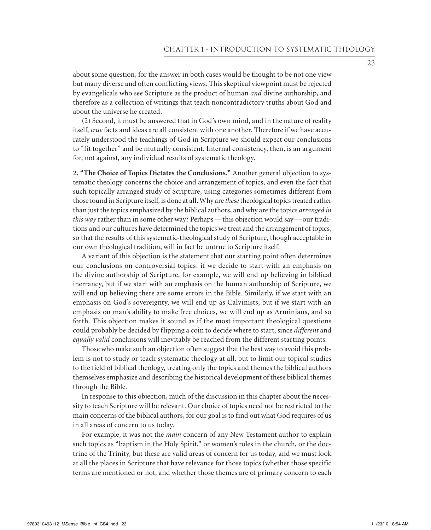about some question, for the answer in both cases would be thought to be not one view but many diverse and often conflicting views. This skeptical viewpoint must be rejected by evangelicals who see Scripture as the product of human *and* divine authorship, and therefore as a collection of writings that teach noncontradictory truths about God and about the universe he created.

(2) Second, it must be answered that in God's own mind, and in the nature of reality itself, *true* facts and ideas are all consistent with one another. Therefore if we have accurately understood the teachings of God in Scripture we should expect our conclusions to "fit together" and be mutually consistent. Internal consistency, then, is an argument for, not against, any individual results of systematic theology.

**2. "The Choice of Topics Dictates the Conclusions."** Another general objection to systematic theology concerns the choice and arrangement of topics, and even the fact that such topically arranged study of Scripture, using categories sometimes different from those found in Scripture itself, is done at all. Why are *these* theological topics treated rather than just the topics emphasized by the biblical authors, and why are the topics *arranged in this way* rather than in some other way? Perhaps—this objection would say—our traditions and our cultures have determined the topics we treat and the arrangement of topics, so that the results of this systematic-theological study of Scripture, though acceptable in our own theological tradition, will in fact be untrue to Scripture itself.

A variant of this objection is the statement that our starting point often determines our conclusions on controversial topics: if we decide to start with an emphasis on the divine authorship of Scripture, for example, we will end up believing in biblical inerrancy, but if we start with an emphasis on the human authorship of Scripture, we will end up believing there are some errors in the Bible. Similarly, if we start with an emphasis on God's sovereignty, we will end up as Calvinists, but if we start with an emphasis on man's ability to make free choices, we will end up as Arminians, and so forth. This objection makes it sound as if the most important theological questions could probably be decided by flipping a coin to decide where to start, since *different* and *equally valid* conclusions will inevitably be reached from the different starting points.

Those who make such an objection often suggest that the best way to avoid this problem is not to study or teach systematic theology at all, but to limit our topical studies to the field of biblical theology, treating only the topics and themes the biblical authors themselves emphasize and describing the historical development of these biblical themes through the Bible.

In response to this objection, much of the discussion in this chapter about the necessity to teach Scripture will be relevant. Our choice of topics need not be restricted to the main concerns of the biblical authors, for our goal is to find out what God requires of us in all areas of concern to us today.

For example, it was not the *main* concern of any New Testament author to explain such topics as "baptism in the Holy Spirit," or women's roles in the church, or the doctrine of the Trinity, but these are valid areas of concern for us today, and we must look at all the places in Scripture that have relevance for those topics (whether those specific terms are mentioned or not, and whether those themes are of primary concern to each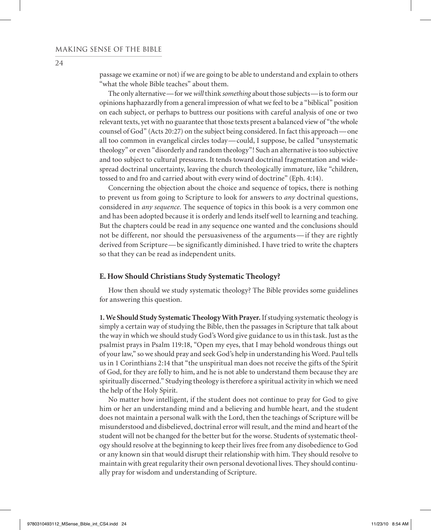passage we examine or not) if we are going to be able to understand and explain to others "what the whole Bible teaches" about them.

The only alternative—for we *will* think *something* about those subjects—is to form our opinions haphazardly from a general impression of what we feel to be a "biblical" position on each subject, or perhaps to buttress our positions with careful analysis of one or two relevant texts, yet with no guarantee that those texts present a balanced view of "the whole counsel of God" (Acts 20:27) on the subject being considered. In fact this approach—one all too common in evangelical circles today—could, I suppose, be called "unsystematic theology" or even "disorderly and random theology"! Such an alternative is too subjective and too subject to cultural pressures. It tends toward doctrinal fragmentation and widespread doctrinal uncertainty, leaving the church theologically immature, like "children, tossed to and fro and carried about with every wind of doctrine" (Eph. 4:14).

Concerning the objection about the choice and sequence of topics, there is nothing to prevent us from going to Scripture to look for answers to *any* doctrinal questions, considered in *any sequence.* The sequence of topics in this book is a very common one and has been adopted because it is orderly and lends itself well to learning and teaching. But the chapters could be read in any sequence one wanted and the conclusions should not be different, nor should the persuasiveness of the arguments—if they are rightly derived from Scripture—be significantly diminished. I have tried to write the chapters so that they can be read as independent units.

#### **E. How Should Christians Study Systematic Theology?**

How then should we study systematic theology? The Bible provides some guidelines for answering this question.

1. We Should Study Systematic Theology With Prayer. If studying systematic theology is simply a certain way of studying the Bible, then the passages in Scripture that talk about the way in which we should study God's Word give guidance to us in this task. Just as the psalmist prays in Psalm 119:18, "Open my eyes, that I may behold wondrous things out of your law," so we should pray and seek God's help in understanding his Word. Paul tells us in 1 Corinthians 2:14 that "the unspiritual man does not receive the gifts of the Spirit of God, for they are folly to him, and he is not able to understand them because they are spiritually discerned." Studying theology is therefore a spiritual activity in which we need the help of the Holy Spirit.

No matter how intelligent, if the student does not continue to pray for God to give him or her an understanding mind and a believing and humble heart, and the student does not maintain a personal walk with the Lord, then the teachings of Scripture will be misunderstood and disbelieved, doctrinal error willresult, and the mind and heart of the student will not be changed for the better but for the worse. Students of systematic theology should resolve at the beginning to keep their lives free from any disobedience to God or any known sin that would disrupt their relationship with him. They should resolve to maintain with great regularity their own personal devotional lives. They should continually pray for wisdom and understanding of Scripture.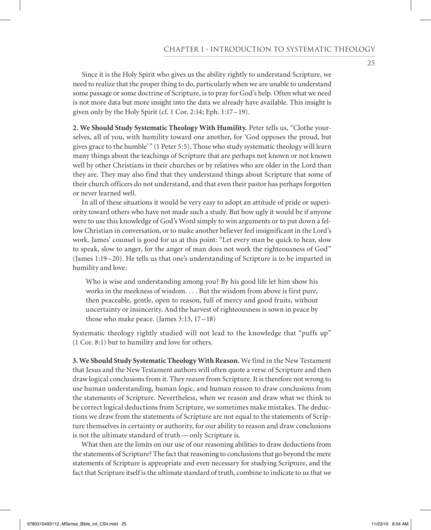25

Since it is the Holy Spirit who gives us the ability rightly to understand Scripture, we need to realize that the properthing to do, particularly when we are unable to understand some passage or some doctrine of Scripture, is to pray for God's help. Often what we need is not more data but more insight into the data we already have available. This insight is given only by the Holy Spirit (cf. 1 Cor. 2:14; Eph. 1:17–19).

**2. We Should Study Systematic Theology With Humility.** Peter tells us, "Clothe yourselves, all of you, with humility toward one another, for 'God opposes the proud, but gives grace to the humble' " (1 Peter 5:5). Those who study systematic theology will learn many things about the teachings of Scripture that are perhaps not known or not known well by other Christians in their churches or by relatives who are older in the Lord than they are. They may also find that they understand things about Scripture that some of their church officers do not understand, and that even their pastor has perhaps forgotten or never learned well.

In all of these situations it would be very easy to adopt an attitude of pride or superiority toward others who have not made such a study. But how ugly it would be if anyone were to use this knowledge of God's Word simply to win arguments or to put down a fellow Christian in conversation, or to make another believer feel insignificant in the Lord's work. James' counsel is good for us at this point: "Let every man be quick to hear, slow to speak, slow to anger, for the anger of man does not work the righteousness of God" (James 1:19–20). He tells us that one's understanding of Scripture is to be imparted in humility and love:

Who is wise and understanding among you? By his good life let him show his works in the meekness of wisdom.  $\dots$  But the wisdom from above is first pure, then peaceable, gentle, open to reason, full of mercy and good fruits, without uncertainty or insincerity. And the harvest of righteousness is sown in peace by those who make peace. (James  $3:13$ ,  $17-18$ )

Systematic theology rightly studied will not lead to the knowledge that "puffs up" (1 Cor. 8:1) but to humility and love for others.

**3. We Should Study Systematic Theology With Reason.** We find in the New Testament that Jesus and the New Testament authors will often quote a verse of Scripture and then draw logical conclusions from it. They *reason* from Scripture. It is therefore not wrong to use human understanding, human logic, and human reason to draw conclusions from the statements of Scripture. Nevertheless, when we reason and draw what we think to be correct logical deductions from Scripture, we sometimes make mistakes. The deductions we draw from the statements of Scripture are not equal to the statements of Scripture themselves in certainty or authority, for our ability to reason and draw conclusions is not the ultimate standard of truth—only Scripture is.

What then are the limits on our use of our reasoning abilities to draw deductions from the statements of Scripture? The fact that reasoning to conclusions that go beyond the mere statements of Scripture is appropriate and even necessary for studying Scripture, and the fact that Scripture itself is the ultimate standard of truth, combine to indicate to us that *we*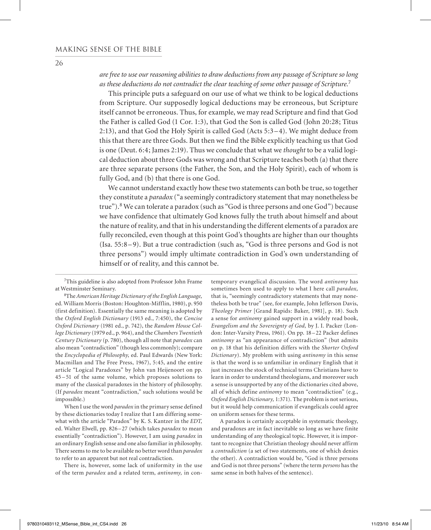*are free to use our reasoning abilities to draw deductions from any passage of Scripture so long as these deductions do not contradict the clear teaching of some other passage of Scripture.*<sup>7</sup>

This principle puts a safeguard on our use of what we think to be logical deductions from Scripture. Our supposedly logical deductions may be erroneous, but Scripture itself cannot be erroneous. Thus, for example, we may read Scripture and find that God the Father is called God (1 Cor. 1:3), that God the Son is called God (John 20:28; Titus 2:13), and that God the Holy Spirit is called God (Acts 5:3–4). We might deduce from this that there are three Gods. But then we find the Bible explicitly teaching us that God is one (Deut. 6:4; James 2:19). Thus we conclude that what we *thought* to be a valid logical deduction about three Gods was wrong and that Scripture teaches both (a) that there are three separate persons (the Father, the Son, and the Holy Spirit), each of whom is fully God, and (b) that there is one God.

We cannot understand exactly how these two statements can both be true, so together they constitute a *paradox* ("a seemingly contradictory statement that may nonetheless be true").8 We can tolerate a paradox (such as "God is three persons and one God") because we have confidence that ultimately God knows fully the truth about himself and about the nature ofreality, and that in his understanding the different elements of a paradox are fully reconciled, even though at this point God's thoughts are higher than our thoughts (Isa. 55:8– 9). But a true contradiction (such as, "God is three persons and God is not three persons") would imply ultimate contradiction in God's own understanding of himself or of reality, and this cannot be.

7This guideline is also adopted from Professor John Frame at Westminster Seminary.

8The *American Heritage Dictionary of the English Language,*  ed. William Morris (Boston: Houghton-Mifflin, 1980), p. 950 (first definition). Essentially the same meaning is adopted by the *Oxford English Dictionary* (1913 ed., 7:450), the *Concise Oxford Dictionary* (1981 ed., p. 742), the *Random House College Dictionary* (1979 ed., p. 964), and the *Chambers Twentieth Century Dictionary* (p. 780), though all note that *paradox* can also mean "contradiction" (though less commonly); compare the *Encyclopedia of Philosophy,* ed. Paul Edwards (New York: Macmillan and The Free Press, 1967), 5:45, and the entire article "Logical Paradoxes" by John van Heijenoort on pp. 45 – 51 of the same volume, which proposes solutions to many of the classical paradoxes in the history of philosophy. (If *paradox* meant "contradiction," such solutions would be impossible.)

When I use the word *paradox* in the primary sense defined by these dictionaries today I realize that I am differing somewhat with the article "Paradox" by K. S. Kantzer in the *EDT,*  ed. Walter Elwell, pp. 826–27 (which takes *paradox* to mean essentially "contradiction"). However, I am using *paradox* in an ordinary English sense and one also familiar in philosophy. There seems to me to be available no better word than *paradox*  to refer to an apparent but not real contradiction.

There is, however, some lack of uniformity in the use of the term *paradox* and a related term, *antinomy,* in con-

temporary evangelical discussion. The word *antinomy* has sometimes been used to apply to what I here call *paradox,*  that is, "seemingly contradictory statements that may nonetheless both be true" (see, for example, John Jefferson Davis, *Theology Primer* [Grand Rapids: Baker, 1981], p. 18). Such a sense for *antinomy* gained support in a widely read book, *Evangelism and the Sovereignty of God,* by J. I. Packer (London: Inter-Varsity Press, 1961). On pp. 18 – 22 Packer defines *antinomy* as "an appearance of contradiction" (but admits on p. 18 that his definition differs with the *Shorter Oxford Dictionary*). My problem with using *antinomy* in this sense is that the word is so unfamiliar in ordinary English that it just increases the stock of technical terms Christians have to learn in order to understand theologians, and moreover such a sense is unsupported by any of the dictionaries cited above, all of which define *antinomy* to mean "contradiction" (e.g., *Oxford English Dictionary,* 1:371). The problem is not serious, but it would help communication if evangelicals could agree on uniform senses for these terms.

A paradox is certainly acceptable in systematic theology, and paradoxes are in fact inevitable so long as we have finite understanding of any theological topic. However, it is important to recognize that Christian theology should never affirm a *contradiction* (a set of two statements, one of which denies the other). A contradiction would be, "God is three persons and God is not three persons" (where the term *persons* has the same sense in both halves of the sentence).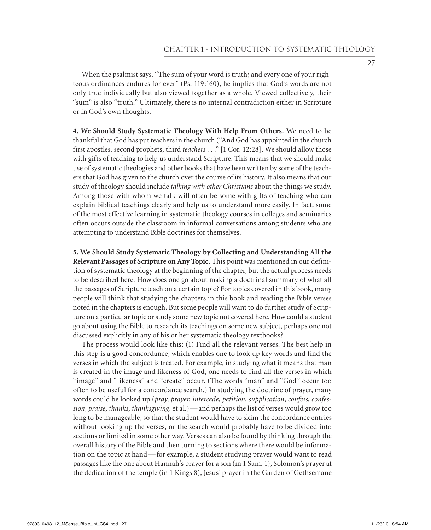When the psalmist says, "The sum of your word is truth; and every one of your righteous ordinances endures for ever" (Ps. 119:160), he implies that God's words are not only true individually but also viewed together as a whole. Viewed collectively, their "sum" is also "truth." Ultimately, there is no internal contradiction either in Scripture or in God's own thoughts.

**4. We Should Study Systematic Theology With Help From Others.** We need to be thankful that God has put teachers in the church ("And God has appointed in the church first apostles, second prophets, third *teachers* . . ." [1 Cor. 12:28]. We should allow those with gifts of teaching to help us understand Scripture. This means that we should make use of systematic theologies and other books that have been written by some of the teachers that God has given to the church over the course of its history. It also means that our study of theology should include *talking with other Christians* about the things we study. Among those with whom we talk will often be some with gifts of teaching who can explain biblical teachings clearly and help us to understand more easily. In fact, some of the most effective learning in systematic theology courses in colleges and seminaries often occurs outside the classroom in informal conversations among students who are attempting to understand Bible doctrines for themselves.

**5. We Should Study Systematic Theology by Collecting and Understanding All the Relevant Passages of Scripture on Any Topic.** This point was mentioned in our definition of systematic theology at the beginning of the chapter, but the actual process needs to be described here. How does one go about making a doctrinal summary of what all the passages of Scripture teach on a certain topic? For topics covered in this book, many people will think that studying the chapters in this book and reading the Bible verses noted in the chapters is enough. But some people will want to do further study of Scripture on a particular topic or study some new topic not covered here. How could a student go about using the Bible to research its teachings on some new subject, perhaps one not discussed explicitly in any of his or her systematic theology textbooks?

The process would look like this: (1) Find all the relevant verses. The best help in this step is a good concordance, which enables one to look up key words and find the verses in which the subject is treated. For example, in studying what it means that man is created in the image and likeness of God, one needs to find all the verses in which "image" and "likeness" and "create" occur. (The words "man" and "God" occur too often to be useful for a concordance search.) In studying the doctrine of prayer, many words could be looked up (*pray, prayer, intercede, petition, supplication, confess, confession, praise, thanks, thanksgiving,* et al.)—and perhaps the list of verses would grow too long to be manageable, so that the student would have to skim the concordance entries without looking up the verses, or the search would probably have to be divided into sections or limited in some other way. Verses can also be found by thinking through the overall history of the Bible and then turning to sections where there would be information on the topic at hand—for example, a student studying prayer would want to read passages like the one about Hannah's prayer for a son (in 1 Sam. 1), Solomon's prayer at the dedication of the temple (in 1 Kings 8), Jesus' prayer in the Garden of Gethsemane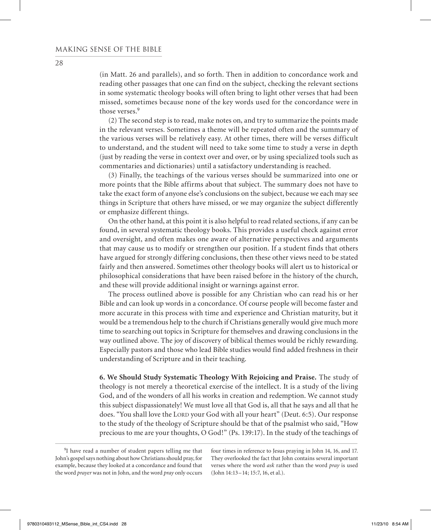(in Matt. 26 and parallels), and so forth. Then in addition to concordance work and reading other passages that one can find on the subject, checking the relevant sections in some systematic theology books will often bring to light other verses that had been missed, sometimes because none of the key words used for the concordance were in those verses.<sup>9</sup>

(2) The second step is to read, make notes on, and try to summarize the points made in the relevant verses. Sometimes a theme will be repeated often and the summary of the various verses will be relatively easy. At other times, there will be verses difficult to understand, and the student will need to take some time to study a verse in depth (just by reading the verse in context over and over, or by using specialized tools such as commentaries and dictionaries) until a satisfactory understanding is reached.

(3) Finally, the teachings of the various verses should be summarized into one or more points that the Bible affirms about that subject. The summary does not have to take the exact form of anyone else's conclusions on the subject, because we each may see things in Scripture that others have missed, or we may organize the subject differently or emphasize different things.

On the other hand, at this point it is also helpful to read related sections, if any can be found, in several systematic theology books. This provides a useful check against error and oversight, and often makes one aware of alternative perspectives and arguments that may cause us to modify or strengthen our position. If a student finds that others have argued for strongly differing conclusions, then these other views need to be stated fairly and then answered. Sometimes other theology books will alert us to historical or philosophical considerations that have been raised before in the history of the church, and these will provide additional insight or warnings against error.

The process outlined above is possible for any Christian who can read his or her Bible and can look up words in a concordance. Of course people will become faster and more accurate in this process with time and experience and Christian maturity, but it would be a tremendous help to the church if Christians generally would give much more time to searching out topics in Scripture for themselves and drawing conclusions in the way outlined above. The joy of discovery of biblical themes would be richly rewarding. Especially pastors and those who lead Bible studies would find added freshness in their understanding of Scripture and in their teaching.

**6. We Should Study Systematic Theology With Rejoicing and Praise.** The study of theology is not merely a theoretical exercise of the intellect. It is a study of the living God, and of the wonders of all his works in creation and redemption. We cannot study this subject dispassionately! We must love all that God is, all that he says and all that he does. "You shall love the LORD your God with all your heart" (Deut. 6:5). Our response to the study of the theology of Scripture should be that of the psalmist who said, "How precious to me are your thoughts, O God!" (Ps. 139:17). In the study of the teachings of

four times in reference to Jesus praying in John 14, 16, and 17. They overlooked the fact that John contains several important verses where the word *ask* rather than the word *pray* is used (John 14:13–14; 15:7, 16, et al.).

<sup>9</sup>I have read a number of student papers telling me that John's gospel says nothing about how Christians should pray, for example, because they looked at a concordance and found that the word *prayer* was not in John, and the word *pray* only occurs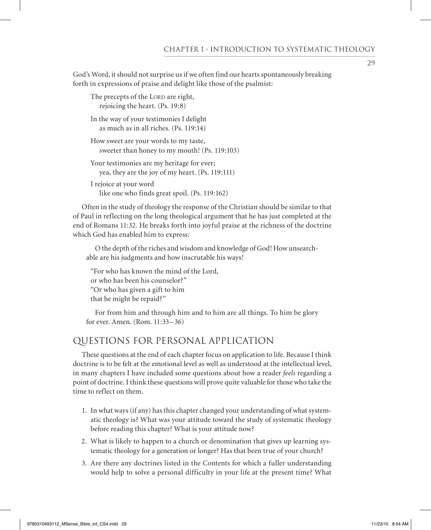God's Word, it should not surprise us if we often find our hearts spontaneously breaking forth in expressions of praise and delight like those of the psalmist:

The precepts of the LORD are right, rejoicing the heart. (Ps. 19:8)

In the way of your testimonies I delight as much as in all riches. (Ps. 119:14)

How sweet are your words to my taste, sweeter than honey to my mouth! (Ps. 119:103)

Your testimonies are my heritage for ever; yea, they are the joy of my heart. (Ps. 119:111) I rejoice at your word like one who finds great spoil. (Ps. 119:162)

Often in the study of theology the response of the Christian should be similar to that of Paul in reflecting on the long theological argument that he has just completed at the end of Romans 11:32. He breaks forth into joyful praise at the richness of the doctrine which God has enabled him to express:

O the depth of the riches andwisdom and knowledge of God! Howunsearchable are his judgments and how inscrutable his ways!

"For who has known the mind of the Lord, or who has been his counselor?" "Or who has given a gift to him that he might be repaid?"

For from him and through him and to him are all things. To him be glory for ever. Amen. (Rom. 11:33–36)

# Questions for Personal Application

These questions at the end of each chapter focus on application to life. Because I think doctrine is to be felt at the emotional level as well as understood at the intellectual level, in many chapters I have included some questions about how a reader *feels* regarding a point of doctrine. I think these questions will prove quite valuable for those who take the time to reflect on them.

- 1. In what ways (if any) has this chapter changed your understanding of what systematic theology is? What was your attitude toward the study of systematic theology before reading this chapter? What is your attitude now?
- 2. What is likely to happen to a church or denomination that gives up learning systematic theology for a generation or longer? Has that been true of your church?
- 3. Are there any doctrines listed in the Contents for which a fuller understanding would help to solve a personal difficulty in your life at the present time? What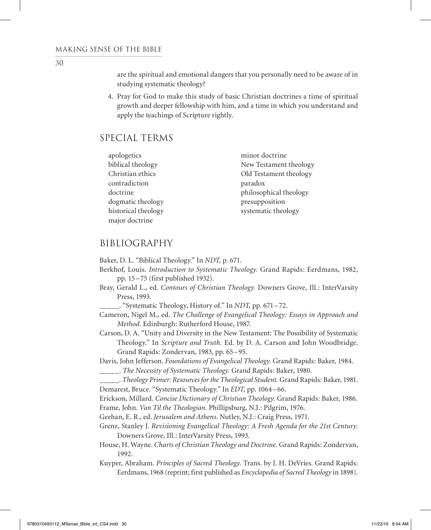are the spiritual and emotional dangers that you personally need to be aware of in studying systematic theology?

4. Pray for God to make this study of basic Christian doctrines a time of spiritual growth and deeper fellowship with him, and a time in which you understand and apply the teachings of Scripture rightly.

# Special Terms

| apologetics         | minor doctrine         |
|---------------------|------------------------|
| biblical theology   | New Testament theology |
| Christian ethics    | Old Testament theology |
| contradiction       | paradox                |
| doctrine            | philosophical theology |
| dogmatic theology   | presupposition         |
| historical theology | systematic theology    |
| major doctrine      |                        |

### Bibliography

Baker, D. L. "Biblical Theology." In *NDT,* p. 671.

- Berkhof, Louis. *Introduction to Systematic Theology.* Grand Rapids: Eerdmans, 1982, pp. 15–75 (first published 1932).
- Bray, Gerald L., ed. *Contours of Christian Theology.* Downers Grove, Ill.: InterVarsity Press, 1993.
	- \_\_\_\_\_. "Systematic Theology, History of." In *NDT,* pp. 671–72.
- Cameron, Nigel M., ed. *The Challenge of Evangelical Theology: Essays in Approach and Method.* Edinburgh: Rutherford House, 1987.
- Carson, D. A. "Unity and Diversity in the New Testament: The Possibility of Systematic Theology." In *Scripture and Truth.* Ed. by D. A. Carson and John Woodbridge. Grand Rapids: Zondervan, 1983, pp. 65–95.

Davis, John Jefferson. *Foundations of Evangelical Theology.* Grand Rapids: Baker, 1984. \_\_\_\_\_. *The Necessity of Systematic Theology.* Grand Rapids: Baker, 1980.

\_\_\_\_\_. *Theology Primer: Resources for the Theological Student.* Grand Rapids: Baker, 1981. Demarest, Bruce. "Systematic Theology." In *EDT,* pp. 1064–66.

Erickson, Millard. *Concise Dictionary of Christian Theology.* Grand Rapids: Baker, 1986. Frame, John. *Van Til the Theologian.* Phillipsburg, N.J.: Pilgrim, 1976.

Geehan, E. R., ed. *Jerusalem and Athens.* Nutley, N.J.: Craig Press, 1971.

- Grenz, Stanley J. *Revisioning Evangelical Theology: A Fresh Agenda for the 21st Century.*  Downers Grove, Ill.: InterVarsity Press, 1993.
- House, H. Wayne. *Charts of Christian Theology and Doctrine.* Grand Rapids: Zondervan, 1992.
- Kuyper, Abraham. *Principles of Sacred Theology.* Trans. by J. H. DeVries. Grand Rapids: Eerdmans, 1968 (reprint; first published as *Encyclopedia of Sacred Theology* in 1898).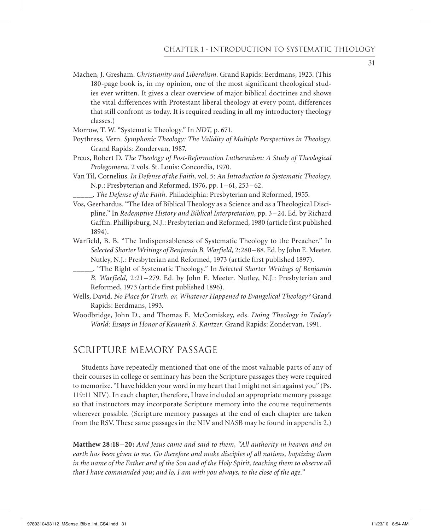- Machen, J. Gresham. *Christianity and Liberalism.* Grand Rapids: Eerdmans, 1923. (This 180-page book is, in my opinion, one of the most significant theological studies ever written. It gives a clear overview of major biblical doctrines and shows the vital differences with Protestant liberal theology at every point, differences that still confront us today. It is required reading in all my introductory theology classes.)
- Morrow, T. W. "Systematic Theology." In *NDT,* p. 671.
- Poythress, Vern. *Symphonic Theology: The Validity of Multiple Perspectives in Theology.*  Grand Rapids: Zondervan, 1987.
- Preus, Robert D. *The Theology of Post-Reformation Lutheranism: A Study of Theological Prolegomena.* 2 vols. St. Louis: Concordia, 1970.
- Van Til, Cornelius. *In Defense of the Faith,* vol. 5: *An Introduction to Systematic Theology.*  N.p.: Presbyterian and Reformed, 1976, pp. 1–61, 253–62.
	- \_\_\_\_\_. *The Defense of the Faith.* Philadelphia: Presbyterian and Reformed, 1955.
- Vos, Geerhardus. "The Idea of Biblical Theology as a Science and as a Theological Discipline." In *Redemptive History and Biblical Interpretation,* pp. 3–24. Ed. by Richard Gaffin. Phillipsburg, N.J.: Presbyterian and Reformed, 1980 (article first published 1894).
- Warfield, B. B. "The Indispensableness of Systematic Theology to the Preacher." In *Selected Shorter Writings of Benjamin B. Warfield,* 2:280–88. Ed. by John E. Meeter. Nutley, N.J.: Presbyterian and Reformed, 1973 (article first published 1897).
- \_\_\_\_\_. "The Right of Systematic Theology." In *Selected Shorter Writings of Benjamin B. Warfield,* 2:21 – 279. Ed. by John E. Meeter. Nutley, N.J.: Presbyterian and Reformed, 1973 (article first published 1896).
- Wells, David. *No Place for Truth, or, Whatever Happened to Evangelical Theology?* Grand Rapids: Eerdmans, 1993.
- Woodbridge, John D., and Thomas E. McComiskey, eds. *Doing Theology in Today's World: Essays in Honor of Kenneth S. Kantzer.* Grand Rapids: Zondervan, 1991.

### Scripture Memory Passage

Students have repeatedly mentioned that one of the most valuable parts of any of their courses in college or seminary has been the Scripture passages they were required to memorize. "I have hidden your word in my heart that I might not sin against you" (Ps. 119:11 NIV). In each chapter, therefore, I have included an appropriate memory passage so that instructors may incorporate Scripture memory into the course requirements wherever possible. (Scripture memory passages at the end of each chapter are taken from the RSV. These same passages in the NIV and NASB may be found in appendix 2.)

**Matthew 28:18 – 20:** *And Jesus came and said to them, "All authority in heaven and on earth has been given to me. Go therefore and make disciples of all nations, baptizing them in the name of the Father and of the Son and of the Holy Spirit, teaching them to observe all that I have commanded you; and lo, I am with you always, to the close of the age."*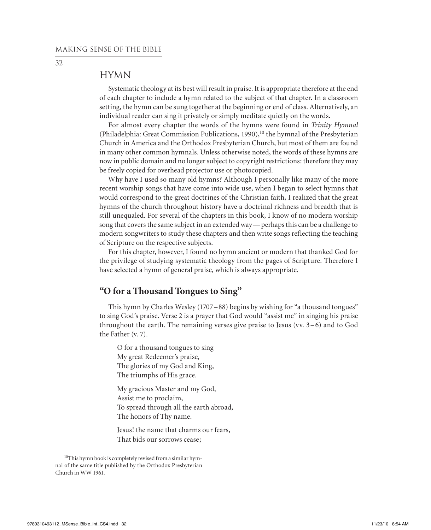### **HYMN**

Systematic theology at its best will result in praise. It is appropriate therefore at the end of each chapter to include a hymn related to the subject of that chapter. In a classroom setting, the hymn can be sung together at the beginning or end of class. Alternatively, an individual reader can sing it privately or simply meditate quietly on the words.

For almost every chapter the words of the hymns were found in *Trinity Hymnal*  (Philadelphia: Great Commission Publications, 1990), $^{10}$  the hymnal of the Presbyterian Church in America and the Orthodox Presbyterian Church, but most of them are found in many other common hymnals. Unless otherwise noted, the words of these hymns are now in public domain and no longer subject to copyright restrictions: therefore they may be freely copied for overhead projector use or photocopied.

Why have I used so many old hymns? Although I personally like many of the more recent worship songs that have come into wide use, when I began to select hymns that would correspond to the great doctrines of the Christian faith, I realized that the great hymns of the church throughout history have a doctrinal richness and breadth that is still unequaled. For several of the chapters in this book, I know of no modern worship song that covers the same subject in an extended way—perhaps this can be a challenge to modern songwriters to study these chapters and then write songs reflecting the teaching of Scripture on the respective subjects.

For this chapter, however, I found no hymn ancient or modern that thanked God for the privilege of studying systematic theology from the pages of Scripture. Therefore I have selected a hymn of general praise, which is always appropriate.

# **"O for a Thousand Tongues to Sing"**

This hymn by Charles Wesley (1707–88) begins by wishing for "a thousand tongues" to sing God's praise. Verse 2 is a prayer that God would "assist me" in singing his praise throughout the earth. The remaining verses give praise to Jesus (vv.  $3-6$ ) and to God the Father (v. 7).

O for a thousand tongues to sing My great Redeemer's praise, The glories of my God and King, The triumphs of His grace.

My gracious Master and my God, Assist me to proclaim, To spread through all the earth abroad, The honors of Thy name.

Jesus! the name that charms our fears, That bids our sorrows cease;

<sup>10</sup>This hymn book is completely revised from a similar hymnal of the same title published by the Orthodox Presbyterian Church in WW 1961.